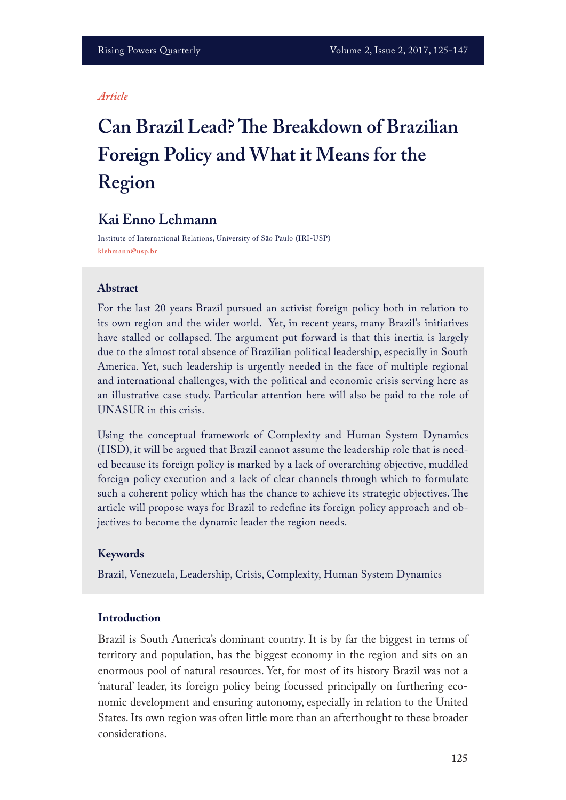#### *Article*

# **Can Brazil Lead? Te Breakdown of Brazilian Foreign Policy and What it Means for the Region**

# **Kai Enno Lehmann**

Institute of International Relations, University of São Paulo (IRI-USP) **klehmann@usp.br**

#### **Abstract**

For the last 20 years Brazil pursued an activist foreign policy both in relation to its own region and the wider world. Yet, in recent years, many Brazil's initiatives have stalled or collapsed. The argument put forward is that this inertia is largely due to the almost total absence of Brazilian political leadership, especially in South America. Yet, such leadership is urgently needed in the face of multiple regional and international challenges, with the political and economic crisis serving here as an illustrative case study. Particular attention here will also be paid to the role of UNASUR in this crisis.

Using the conceptual framework of Complexity and Human System Dynamics (HSD), it will be argued that Brazil cannot assume the leadership role that is needed because its foreign policy is marked by a lack of overarching objective, muddled foreign policy execution and a lack of clear channels through which to formulate such a coherent policy which has the chance to achieve its strategic objectives. The article will propose ways for Brazil to redefne its foreign policy approach and objectives to become the dynamic leader the region needs.

#### **Keywords**

Brazil, Venezuela, Leadership, Crisis, Complexity, Human System Dynamics

#### **Introduction**

Brazil is South America's dominant country. It is by far the biggest in terms of territory and population, has the biggest economy in the region and sits on an enormous pool of natural resources. Yet, for most of its history Brazil was not a 'natural' leader, its foreign policy being focussed principally on furthering economic development and ensuring autonomy, especially in relation to the United States. Its own region was often little more than an afterthought to these broader considerations.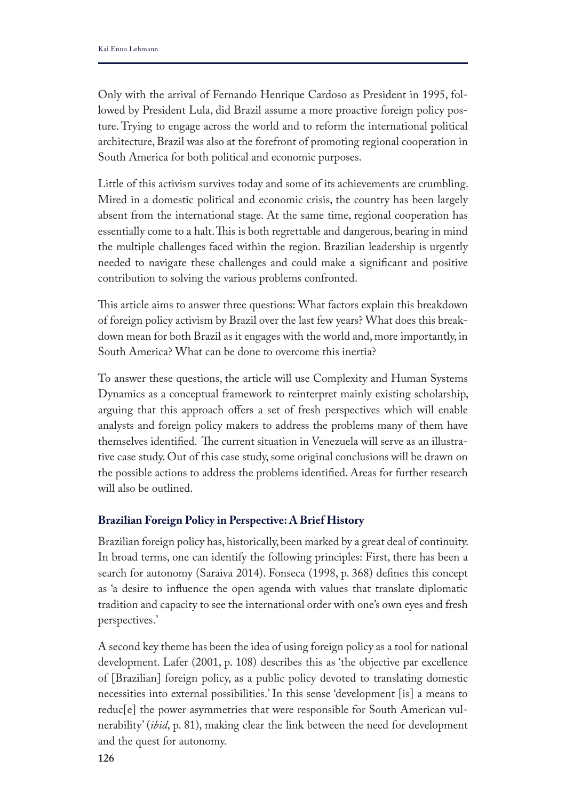Only with the arrival of Fernando Henrique Cardoso as President in 1995, followed by President Lula, did Brazil assume a more proactive foreign policy posture. Trying to engage across the world and to reform the international political architecture, Brazil was also at the forefront of promoting regional cooperation in South America for both political and economic purposes.

Little of this activism survives today and some of its achievements are crumbling. Mired in a domestic political and economic crisis, the country has been largely absent from the international stage. At the same time, regional cooperation has essentially come to a halt. This is both regrettable and dangerous, bearing in mind the multiple challenges faced within the region. Brazilian leadership is urgently needed to navigate these challenges and could make a signifcant and positive contribution to solving the various problems confronted.

This article aims to answer three questions: What factors explain this breakdown of foreign policy activism by Brazil over the last few years? What does this breakdown mean for both Brazil as it engages with the world and, more importantly, in South America? What can be done to overcome this inertia?

To answer these questions, the article will use Complexity and Human Systems Dynamics as a conceptual framework to reinterpret mainly existing scholarship, arguing that this approach offers a set of fresh perspectives which will enable analysts and foreign policy makers to address the problems many of them have themselves identified. The current situation in Venezuela will serve as an illustrative case study. Out of this case study, some original conclusions will be drawn on the possible actions to address the problems identifed. Areas for further research will also be outlined.

# **Brazilian Foreign Policy in Perspective: A Brief History**

Brazilian foreign policy has, historically, been marked by a great deal of continuity. In broad terms, one can identify the following principles: First, there has been a search for autonomy (Saraiva 2014). Fonseca (1998, p. 368) defnes this concept as 'a desire to infuence the open agenda with values that translate diplomatic tradition and capacity to see the international order with one's own eyes and fresh perspectives.'

A second key theme has been the idea of using foreign policy as a tool for national development. Lafer (2001, p. 108) describes this as 'the objective par excellence of [Brazilian] foreign policy, as a public policy devoted to translating domestic necessities into external possibilities.' In this sense 'development [is] a means to reduc[e] the power asymmetries that were responsible for South American vulnerability' (*ibid*, p. 81), making clear the link between the need for development and the quest for autonomy.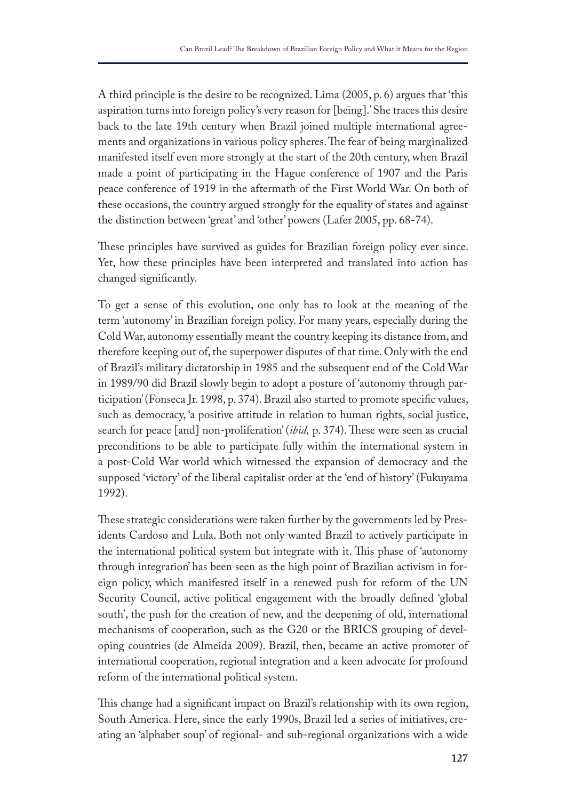A third principle is the desire to be recognized. Lima (2005, p. 6) argues that 'this aspiration turns into foreign policy's very reason for [being].' She traces this desire back to the late 19th century when Brazil joined multiple international agreements and organizations in various policy spheres. The fear of being marginalized manifested itself even more strongly at the start of the 20th century, when Brazil made a point of participating in the Hague conference of 1907 and the Paris peace conference of 1919 in the aftermath of the First World War. On both of these occasions, the country argued strongly for the equality of states and against the distinction between 'great' and 'other' powers (Lafer 2005, pp. 68-74).

These principles have survived as guides for Brazilian foreign policy ever since. Yet, how these principles have been interpreted and translated into action has changed signifcantly.

To get a sense of this evolution, one only has to look at the meaning of the term 'autonomy' in Brazilian foreign policy. For many years, especially during the Cold War, autonomy essentially meant the country keeping its distance from, and therefore keeping out of, the superpower disputes of that time. Only with the end of Brazil's military dictatorship in 1985 and the subsequent end of the Cold War in 1989/90 did Brazil slowly begin to adopt a posture of 'autonomy through participation' (Fonseca Jr. 1998, p. 374). Brazil also started to promote specifc values, such as democracy, 'a positive attitude in relation to human rights, social justice, search for peace [and] non-proliferation' (*ibid*, p. 374). These were seen as crucial preconditions to be able to participate fully within the international system in a post-Cold War world which witnessed the expansion of democracy and the supposed 'victory' of the liberal capitalist order at the 'end of history' (Fukuyama 1992).

These strategic considerations were taken further by the governments led by Presidents Cardoso and Lula. Both not only wanted Brazil to actively participate in the international political system but integrate with it. This phase of 'autonomy through integration' has been seen as the high point of Brazilian activism in foreign policy, which manifested itself in a renewed push for reform of the UN Security Council, active political engagement with the broadly defned 'global south', the push for the creation of new, and the deepening of old, international mechanisms of cooperation, such as the G20 or the BRICS grouping of developing countries (de Almeida 2009). Brazil, then, became an active promoter of international cooperation, regional integration and a keen advocate for profound reform of the international political system.

This change had a significant impact on Brazil's relationship with its own region, South America. Here, since the early 1990s, Brazil led a series of initiatives, creating an 'alphabet soup' of regional- and sub-regional organizations with a wide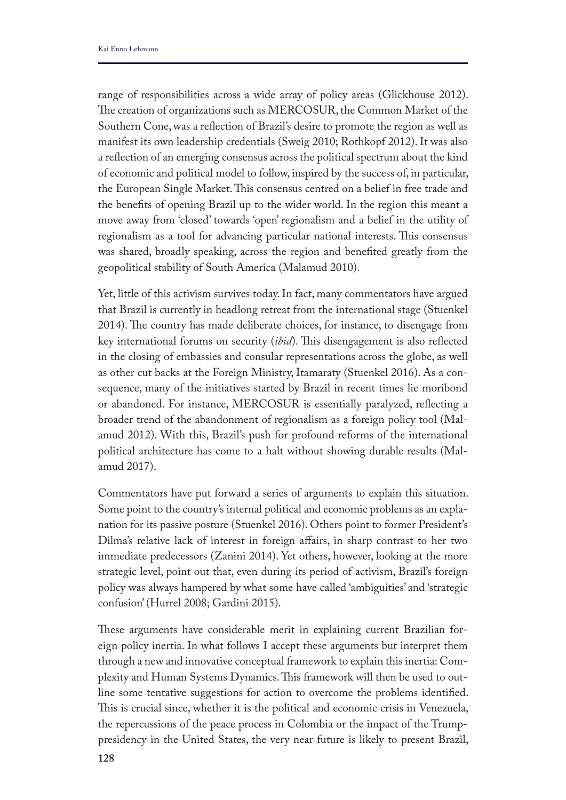range of responsibilities across a wide array of policy areas (Glickhouse 2012). The creation of organizations such as MERCOSUR, the Common Market of the Southern Cone, was a refection of Brazil's desire to promote the region as well as manifest its own leadership credentials (Sweig 2010; Rothkopf 2012). It was also a refection of an emerging consensus across the political spectrum about the kind of economic and political model to follow, inspired by the success of, in particular, the European Single Market. This consensus centred on a belief in free trade and the benefts of opening Brazil up to the wider world. In the region this meant a move away from 'closed' towards 'open' regionalism and a belief in the utility of regionalism as a tool for advancing particular national interests. This consensus was shared, broadly speaking, across the region and benefted greatly from the geopolitical stability of South America (Malamud 2010).

Yet, little of this activism survives today. In fact, many commentators have argued that Brazil is currently in headlong retreat from the international stage (Stuenkel 2014). The country has made deliberate choices, for instance, to disengage from key international forums on security (*ibid*). This disengagement is also reflected in the closing of embassies and consular representations across the globe, as well as other cut backs at the Foreign Ministry, Itamaraty (Stuenkel 2016). As a consequence, many of the initiatives started by Brazil in recent times lie moribond or abandoned. For instance, MERCOSUR is essentially paralyzed, refecting a broader trend of the abandonment of regionalism as a foreign policy tool (Malamud 2012). With this, Brazil's push for profound reforms of the international political architecture has come to a halt without showing durable results (Malamud 2017).

Commentators have put forward a series of arguments to explain this situation. Some point to the country's internal political and economic problems as an explanation for its passive posture (Stuenkel 2016). Others point to former President's Dilma's relative lack of interest in foreign afairs, in sharp contrast to her two immediate predecessors (Zanini 2014). Yet others, however, looking at the more strategic level, point out that, even during its period of activism, Brazil's foreign policy was always hampered by what some have called 'ambiguities' and 'strategic confusion' (Hurrel 2008; Gardini 2015).

These arguments have considerable merit in explaining current Brazilian foreign policy inertia. In what follows I accept these arguments but interpret them through a new and innovative conceptual framework to explain this inertia: Complexity and Human Systems Dynamics. This framework will then be used to outline some tentative suggestions for action to overcome the problems identifed. This is crucial since, whether it is the political and economic crisis in Venezuela, the repercussions of the peace process in Colombia or the impact of the Trumppresidency in the United States, the very near future is likely to present Brazil,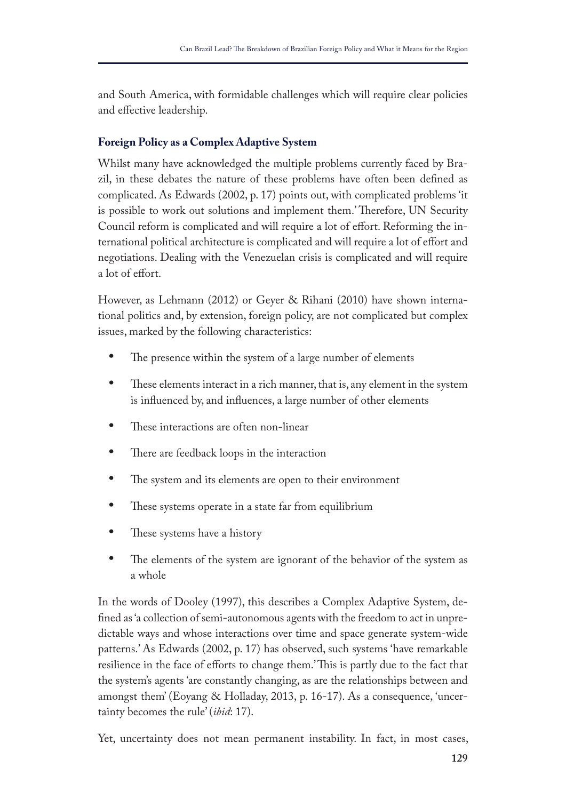and South America, with formidable challenges which will require clear policies and efective leadership.

# **Foreign Policy as a Complex Adaptive System**

Whilst many have acknowledged the multiple problems currently faced by Brazil, in these debates the nature of these problems have often been defned as complicated. As Edwards (2002, p. 17) points out, with complicated problems 'it is possible to work out solutions and implement them.' Therefore, UN Security Council reform is complicated and will require a lot of effort. Reforming the international political architecture is complicated and will require a lot of efort and negotiations. Dealing with the Venezuelan crisis is complicated and will require a lot of effort.

However, as Lehmann (2012) or Geyer & Rihani (2010) have shown international politics and, by extension, foreign policy, are not complicated but complex issues, marked by the following characteristics:

- The presence within the system of a large number of elements
- These elements interact in a rich manner, that is, any element in the system is infuenced by, and infuences, a large number of other elements
- These interactions are often non-linear
- There are feedback loops in the interaction
- The system and its elements are open to their environment
- These systems operate in a state far from equilibrium
- These systems have a history
- The elements of the system are ignorant of the behavior of the system as a whole

In the words of Dooley (1997), this describes a Complex Adaptive System, defned as 'a collection of semi-autonomous agents with the freedom to act in unpredictable ways and whose interactions over time and space generate system-wide patterns.' As Edwards (2002, p. 17) has observed, such systems 'have remarkable resilience in the face of efforts to change them.' This is partly due to the fact that the system's agents 'are constantly changing, as are the relationships between and amongst them' (Eoyang & Holladay, 2013, p. 16-17). As a consequence, 'uncertainty becomes the rule' (*ibid*: 17).

Yet, uncertainty does not mean permanent instability. In fact, in most cases,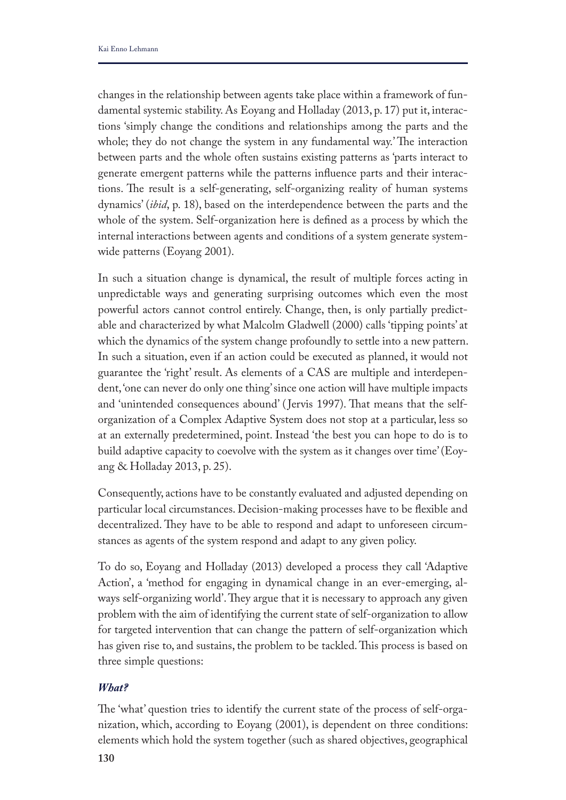changes in the relationship between agents take place within a framework of fundamental systemic stability. As Eoyang and Holladay (2013, p. 17) put it, interactions 'simply change the conditions and relationships among the parts and the whole; they do not change the system in any fundamental way.' The interaction between parts and the whole often sustains existing patterns as 'parts interact to generate emergent patterns while the patterns infuence parts and their interactions. The result is a self-generating, self-organizing reality of human systems dynamics' (*ibid*, p. 18), based on the interdependence between the parts and the whole of the system. Self-organization here is defned as a process by which the internal interactions between agents and conditions of a system generate systemwide patterns (Eoyang 2001).

In such a situation change is dynamical, the result of multiple forces acting in unpredictable ways and generating surprising outcomes which even the most powerful actors cannot control entirely. Change, then, is only partially predictable and characterized by what Malcolm Gladwell (2000) calls 'tipping points' at which the dynamics of the system change profoundly to settle into a new pattern. In such a situation, even if an action could be executed as planned, it would not guarantee the 'right' result. As elements of a CAS are multiple and interdependent, 'one can never do only one thing' since one action will have multiple impacts and 'unintended consequences abound' (Jervis 1997). That means that the selforganization of a Complex Adaptive System does not stop at a particular, less so at an externally predetermined, point. Instead 'the best you can hope to do is to build adaptive capacity to coevolve with the system as it changes over time' (Eoyang & Holladay 2013, p. 25).

Consequently, actions have to be constantly evaluated and adjusted depending on particular local circumstances. Decision-making processes have to be fexible and decentralized. They have to be able to respond and adapt to unforeseen circumstances as agents of the system respond and adapt to any given policy.

To do so, Eoyang and Holladay (2013) developed a process they call 'Adaptive Action', a 'method for engaging in dynamical change in an ever-emerging, always self-organizing world'. They argue that it is necessary to approach any given problem with the aim of identifying the current state of self-organization to allow for targeted intervention that can change the pattern of self-organization which has given rise to, and sustains, the problem to be tackled. This process is based on three simple questions:

## *What?*

The 'what' question tries to identify the current state of the process of self-organization, which, according to Eoyang (2001), is dependent on three conditions: elements which hold the system together (such as shared objectives, geographical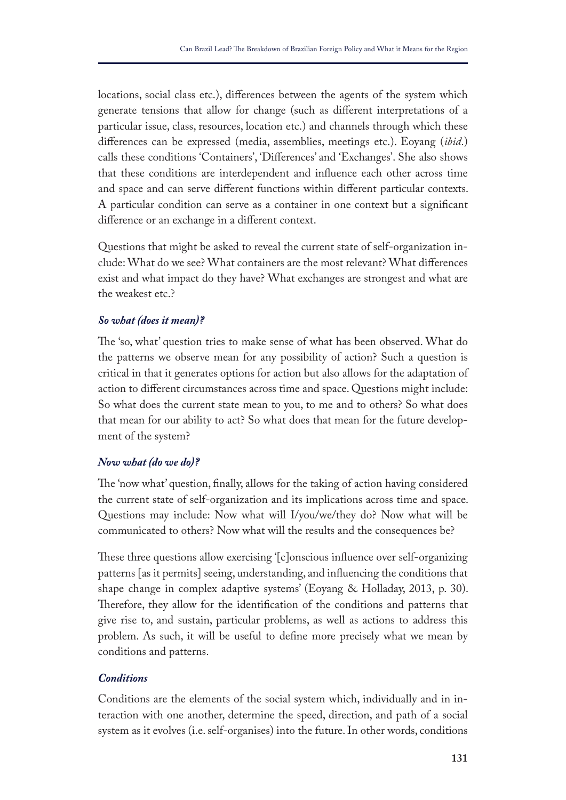locations, social class etc.), diferences between the agents of the system which generate tensions that allow for change (such as diferent interpretations of a particular issue, class, resources, location etc.) and channels through which these diferences can be expressed (media, assemblies, meetings etc.). Eoyang (*ibid*.) calls these conditions 'Containers', 'Diferences' and 'Exchanges'. She also shows that these conditions are interdependent and infuence each other across time and space and can serve diferent functions within diferent particular contexts. A particular condition can serve as a container in one context but a signifcant diference or an exchange in a diferent context.

Questions that might be asked to reveal the current state of self-organization include: What do we see? What containers are the most relevant? What diferences exist and what impact do they have? What exchanges are strongest and what are the weakest etc.?

## *So what (does it mean)?*

The 'so, what' question tries to make sense of what has been observed. What do the patterns we observe mean for any possibility of action? Such a question is critical in that it generates options for action but also allows for the adaptation of action to diferent circumstances across time and space. Questions might include: So what does the current state mean to you, to me and to others? So what does that mean for our ability to act? So what does that mean for the future development of the system?

## *Now what (do we do)?*

The 'now what' question, finally, allows for the taking of action having considered the current state of self-organization and its implications across time and space. Questions may include: Now what will I/you/we/they do? Now what will be communicated to others? Now what will the results and the consequences be?

These three questions allow exercising '[c]onscious influence over self-organizing patterns [as it permits] seeing, understanding, and infuencing the conditions that shape change in complex adaptive systems' (Eoyang & Holladay, 2013, p. 30). Therefore, they allow for the identification of the conditions and patterns that give rise to, and sustain, particular problems, as well as actions to address this problem. As such, it will be useful to defne more precisely what we mean by conditions and patterns.

## *Conditions*

Conditions are the elements of the social system which, individually and in interaction with one another, determine the speed, direction, and path of a social system as it evolves (i.e. self-organises) into the future. In other words, conditions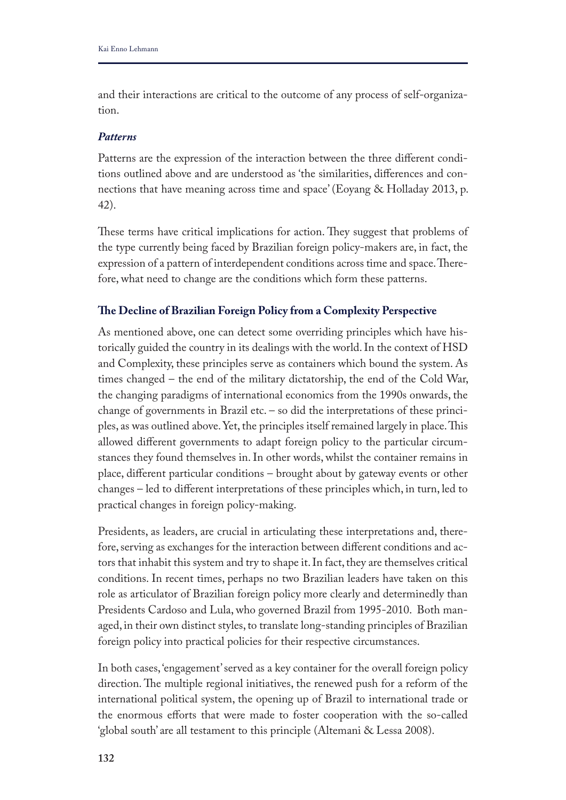and their interactions are critical to the outcome of any process of self-organization.

#### *Patterns*

Patterns are the expression of the interaction between the three diferent conditions outlined above and are understood as 'the similarities, diferences and connections that have meaning across time and space' (Eoyang & Holladay 2013, p. 42).

These terms have critical implications for action. They suggest that problems of the type currently being faced by Brazilian foreign policy-makers are, in fact, the expression of a pattern of interdependent conditions across time and space. Therefore, what need to change are the conditions which form these patterns.

## **Te Decline of Brazilian Foreign Policy from a Complexity Perspective**

As mentioned above, one can detect some overriding principles which have historically guided the country in its dealings with the world. In the context of HSD and Complexity, these principles serve as containers which bound the system. As times changed – the end of the military dictatorship, the end of the Cold War, the changing paradigms of international economics from the 1990s onwards, the change of governments in Brazil etc. – so did the interpretations of these principles, as was outlined above. Yet, the principles itself remained largely in place. This allowed diferent governments to adapt foreign policy to the particular circumstances they found themselves in. In other words, whilst the container remains in place, diferent particular conditions – brought about by gateway events or other changes – led to diferent interpretations of these principles which, in turn, led to practical changes in foreign policy-making.

Presidents, as leaders, are crucial in articulating these interpretations and, therefore, serving as exchanges for the interaction between diferent conditions and actors that inhabit this system and try to shape it. In fact, they are themselves critical conditions. In recent times, perhaps no two Brazilian leaders have taken on this role as articulator of Brazilian foreign policy more clearly and determinedly than Presidents Cardoso and Lula, who governed Brazil from 1995-2010. Both managed, in their own distinct styles, to translate long-standing principles of Brazilian foreign policy into practical policies for their respective circumstances.

In both cases, 'engagement' served as a key container for the overall foreign policy direction. The multiple regional initiatives, the renewed push for a reform of the international political system, the opening up of Brazil to international trade or the enormous efforts that were made to foster cooperation with the so-called 'global south' are all testament to this principle (Altemani & Lessa 2008).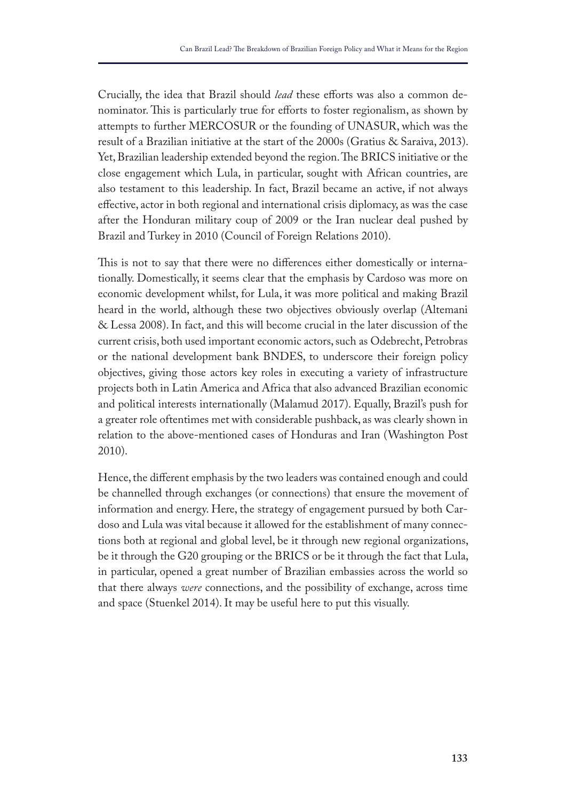Crucially, the idea that Brazil should *lead* these efforts was also a common denominator. This is particularly true for efforts to foster regionalism, as shown by attempts to further MERCOSUR or the founding of UNASUR, which was the result of a Brazilian initiative at the start of the 2000s (Gratius & Saraiva, 2013). Yet, Brazilian leadership extended beyond the region. The BRICS initiative or the close engagement which Lula, in particular, sought with African countries, are also testament to this leadership. In fact, Brazil became an active, if not always efective, actor in both regional and international crisis diplomacy, as was the case after the Honduran military coup of 2009 or the Iran nuclear deal pushed by Brazil and Turkey in 2010 (Council of Foreign Relations 2010).

This is not to say that there were no differences either domestically or internationally. Domestically, it seems clear that the emphasis by Cardoso was more on economic development whilst, for Lula, it was more political and making Brazil heard in the world, although these two objectives obviously overlap (Altemani & Lessa 2008). In fact, and this will become crucial in the later discussion of the current crisis, both used important economic actors, such as Odebrecht, Petrobras or the national development bank BNDES, to underscore their foreign policy objectives, giving those actors key roles in executing a variety of infrastructure projects both in Latin America and Africa that also advanced Brazilian economic and political interests internationally (Malamud 2017). Equally, Brazil's push for a greater role oftentimes met with considerable pushback, as was clearly shown in relation to the above-mentioned cases of Honduras and Iran (Washington Post 2010).

Hence, the diferent emphasis by the two leaders was contained enough and could be channelled through exchanges (or connections) that ensure the movement of information and energy. Here, the strategy of engagement pursued by both Cardoso and Lula was vital because it allowed for the establishment of many connections both at regional and global level, be it through new regional organizations, be it through the G20 grouping or the BRICS or be it through the fact that Lula, in particular, opened a great number of Brazilian embassies across the world so that there always *were* connections, and the possibility of exchange, across time and space (Stuenkel 2014). It may be useful here to put this visually.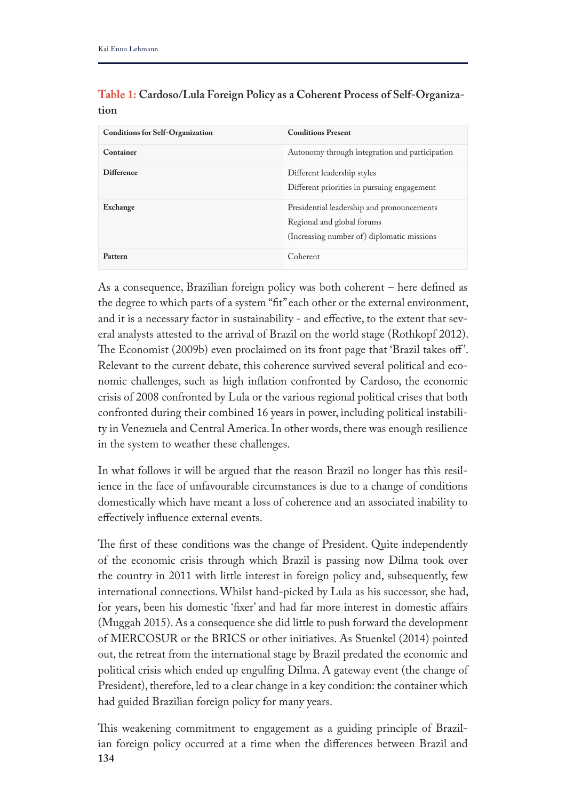| <b>Conditions for Self-Organization</b> | <b>Conditions Present</b>                                                                                              |
|-----------------------------------------|------------------------------------------------------------------------------------------------------------------------|
| Container                               | Autonomy through integration and participation                                                                         |
| <b>Difference</b>                       | Different leadership styles<br>Different priorities in pursuing engagement                                             |
| Exchange                                | Presidential leadership and pronouncements<br>Regional and global forums<br>(Increasing number of) diplomatic missions |
| Pattern                                 | Coherent                                                                                                               |

**Table 1: Cardoso/Lula Foreign Policy as a Coherent Process of Self-Organization**

As a consequence, Brazilian foreign policy was both coherent – here defned as the degree to which parts of a system "ft" each other or the external environment, and it is a necessary factor in sustainability - and efective, to the extent that several analysts attested to the arrival of Brazil on the world stage (Rothkopf 2012). The Economist (2009b) even proclaimed on its front page that 'Brazil takes off'. Relevant to the current debate, this coherence survived several political and economic challenges, such as high infation confronted by Cardoso, the economic crisis of 2008 confronted by Lula or the various regional political crises that both confronted during their combined 16 years in power, including political instability in Venezuela and Central America. In other words, there was enough resilience in the system to weather these challenges.

In what follows it will be argued that the reason Brazil no longer has this resilience in the face of unfavourable circumstances is due to a change of conditions domestically which have meant a loss of coherence and an associated inability to efectively infuence external events.

The first of these conditions was the change of President. Quite independently of the economic crisis through which Brazil is passing now Dilma took over the country in 2011 with little interest in foreign policy and, subsequently, few international connections. Whilst hand-picked by Lula as his successor, she had, for years, been his domestic 'fxer' and had far more interest in domestic afairs (Muggah 2015). As a consequence she did little to push forward the development of MERCOSUR or the BRICS or other initiatives. As Stuenkel (2014) pointed out, the retreat from the international stage by Brazil predated the economic and political crisis which ended up engulfng Dilma. A gateway event (the change of President), therefore, led to a clear change in a key condition: the container which had guided Brazilian foreign policy for many years.

**134** This weakening commitment to engagement as a guiding principle of Brazilian foreign policy occurred at a time when the diferences between Brazil and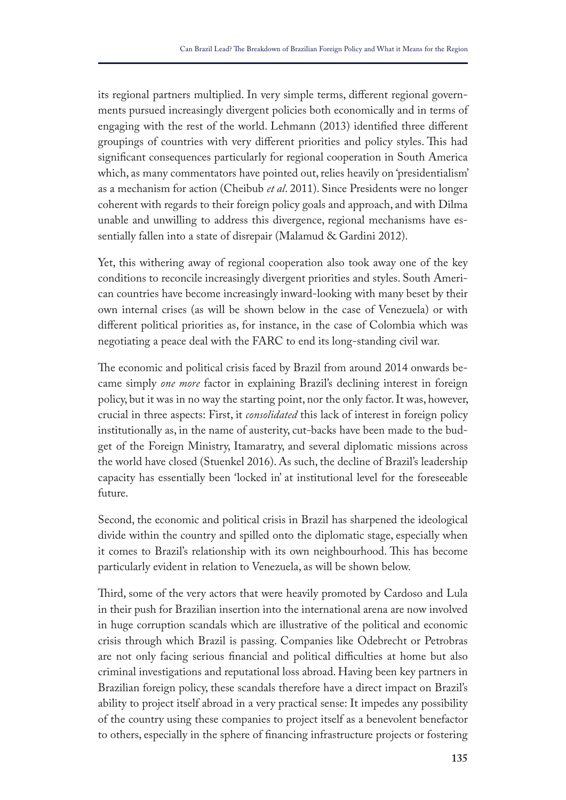its regional partners multiplied. In very simple terms, diferent regional governments pursued increasingly divergent policies both economically and in terms of engaging with the rest of the world. Lehmann (2013) identifed three diferent groupings of countries with very different priorities and policy styles. This had signifcant consequences particularly for regional cooperation in South America which, as many commentators have pointed out, relies heavily on 'presidentialism' as a mechanism for action (Cheibub *et al*. 2011). Since Presidents were no longer coherent with regards to their foreign policy goals and approach, and with Dilma unable and unwilling to address this divergence, regional mechanisms have essentially fallen into a state of disrepair (Malamud & Gardini 2012).

Yet, this withering away of regional cooperation also took away one of the key conditions to reconcile increasingly divergent priorities and styles. South American countries have become increasingly inward-looking with many beset by their own internal crises (as will be shown below in the case of Venezuela) or with diferent political priorities as, for instance, in the case of Colombia which was negotiating a peace deal with the FARC to end its long-standing civil war.

The economic and political crisis faced by Brazil from around 2014 onwards became simply *one more* factor in explaining Brazil's declining interest in foreign policy, but it was in no way the starting point, nor the only factor. It was, however, crucial in three aspects: First, it *consolidated* this lack of interest in foreign policy institutionally as, in the name of austerity, cut-backs have been made to the budget of the Foreign Ministry, Itamaratry, and several diplomatic missions across the world have closed (Stuenkel 2016). As such, the decline of Brazil's leadership capacity has essentially been 'locked in' at institutional level for the foreseeable future.

Second, the economic and political crisis in Brazil has sharpened the ideological divide within the country and spilled onto the diplomatic stage, especially when it comes to Brazil's relationship with its own neighbourhood. This has become particularly evident in relation to Venezuela, as will be shown below.

Tird, some of the very actors that were heavily promoted by Cardoso and Lula in their push for Brazilian insertion into the international arena are now involved in huge corruption scandals which are illustrative of the political and economic crisis through which Brazil is passing. Companies like Odebrecht or Petrobras are not only facing serious financial and political difficulties at home but also criminal investigations and reputational loss abroad. Having been key partners in Brazilian foreign policy, these scandals therefore have a direct impact on Brazil's ability to project itself abroad in a very practical sense: It impedes any possibility of the country using these companies to project itself as a benevolent benefactor to others, especially in the sphere of fnancing infrastructure projects or fostering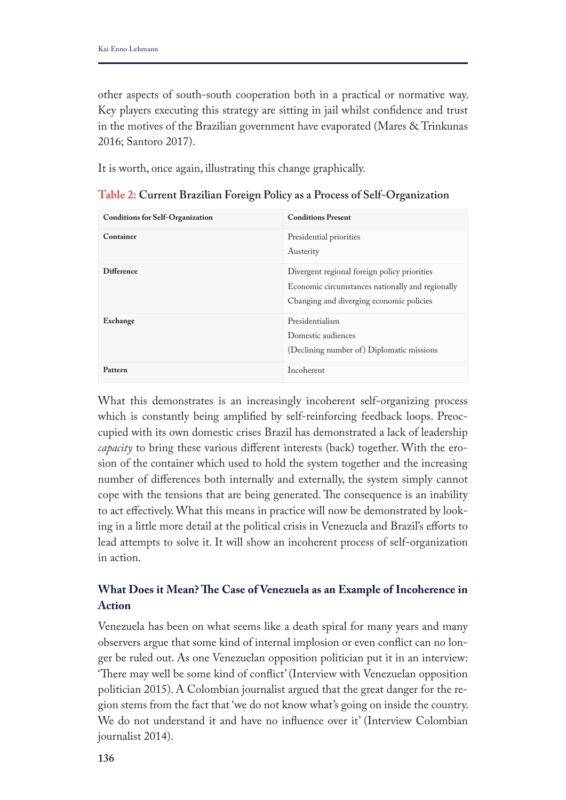other aspects of south-south cooperation both in a practical or normative way. Key players executing this strategy are sitting in jail whilst confdence and trust in the motives of the Brazilian government have evaporated (Mares & Trinkunas 2016; Santoro 2017).

It is worth, once again, illustrating this change graphically.

| <b>Conditions for Self-Organization</b> | <b>Conditions Present</b>                                                                                                                    |
|-----------------------------------------|----------------------------------------------------------------------------------------------------------------------------------------------|
| Container                               | Presidential priorities<br>Austerity                                                                                                         |
| <b>Difference</b>                       | Divergent regional foreign policy priorities<br>Economic circumstances nationally and regionally<br>Changing and diverging economic policies |
| Exchange                                | Presidentialism<br>Domestic audiences<br>(Declining number of) Diplomatic missions                                                           |
| Pattern                                 | Incoherent                                                                                                                                   |

**Table 2: Current Brazilian Foreign Policy as a Process of Self-Organization**

What this demonstrates is an increasingly incoherent self-organizing process which is constantly being amplifed by self-reinforcing feedback loops. Preoccupied with its own domestic crises Brazil has demonstrated a lack of leadership *capacity* to bring these various diferent interests (back) together. With the erosion of the container which used to hold the system together and the increasing number of diferences both internally and externally, the system simply cannot cope with the tensions that are being generated. The consequence is an inability to act efectively. What this means in practice will now be demonstrated by looking in a little more detail at the political crisis in Venezuela and Brazil's eforts to lead attempts to solve it. It will show an incoherent process of self-organization in action.

# **What Does it Mean? Te Case of Venezuela as an Example of Incoherence in Action**

Venezuela has been on what seems like a death spiral for many years and many observers argue that some kind of internal implosion or even confict can no longer be ruled out. As one Venezuelan opposition politician put it in an interview: 'There may well be some kind of conflict' (Interview with Venezuelan opposition politician 2015). A Colombian journalist argued that the great danger for the region stems from the fact that 'we do not know what's going on inside the country. We do not understand it and have no infuence over it' (Interview Colombian journalist 2014).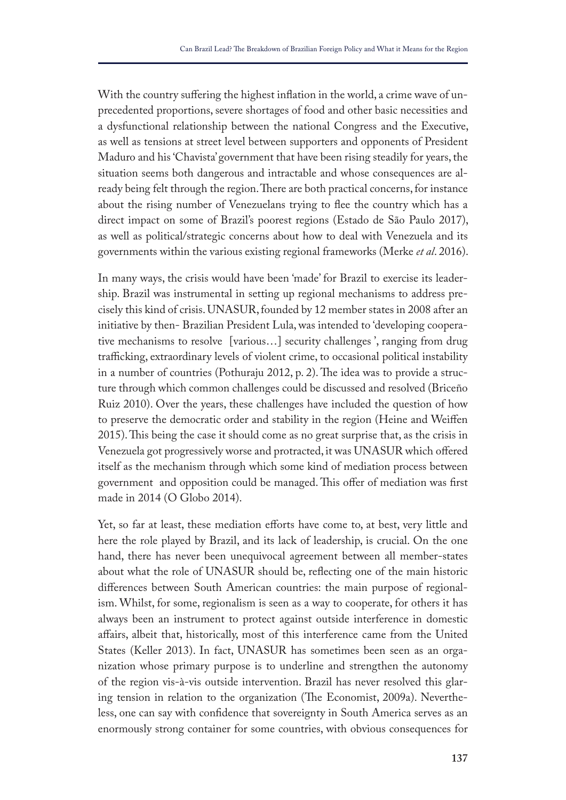With the country sufering the highest infation in the world, a crime wave of unprecedented proportions, severe shortages of food and other basic necessities and a dysfunctional relationship between the national Congress and the Executive, as well as tensions at street level between supporters and opponents of President Maduro and his 'Chavista' government that have been rising steadily for years, the situation seems both dangerous and intractable and whose consequences are already being felt through the region. There are both practical concerns, for instance about the rising number of Venezuelans trying to fee the country which has a direct impact on some of Brazil's poorest regions (Estado de São Paulo 2017), as well as political/strategic concerns about how to deal with Venezuela and its governments within the various existing regional frameworks (Merke *et al*. 2016).

In many ways, the crisis would have been 'made' for Brazil to exercise its leadership. Brazil was instrumental in setting up regional mechanisms to address precisely this kind of crisis. UNASUR, founded by 12 member states in 2008 after an initiative by then- Brazilian President Lula, was intended to 'developing cooperative mechanisms to resolve [various…] security challenges ', ranging from drug trafficking, extraordinary levels of violent crime, to occasional political instability in a number of countries (Pothuraju 2012, p. 2). The idea was to provide a structure through which common challenges could be discussed and resolved (Briceño Ruiz 2010). Over the years, these challenges have included the question of how to preserve the democratic order and stability in the region (Heine and Weifen 2015). This being the case it should come as no great surprise that, as the crisis in Venezuela got progressively worse and protracted, it was UNASUR which ofered itself as the mechanism through which some kind of mediation process between government and opposition could be managed. This offer of mediation was first made in 2014 (O Globo 2014).

Yet, so far at least, these mediation efforts have come to, at best, very little and here the role played by Brazil, and its lack of leadership, is crucial. On the one hand, there has never been unequivocal agreement between all member-states about what the role of UNASUR should be, refecting one of the main historic diferences between South American countries: the main purpose of regionalism. Whilst, for some, regionalism is seen as a way to cooperate, for others it has always been an instrument to protect against outside interference in domestic afairs, albeit that, historically, most of this interference came from the United States (Keller 2013). In fact, UNASUR has sometimes been seen as an organization whose primary purpose is to underline and strengthen the autonomy of the region vis-à-vis outside intervention. Brazil has never resolved this glaring tension in relation to the organization (The Economist, 2009a). Nevertheless, one can say with confdence that sovereignty in South America serves as an enormously strong container for some countries, with obvious consequences for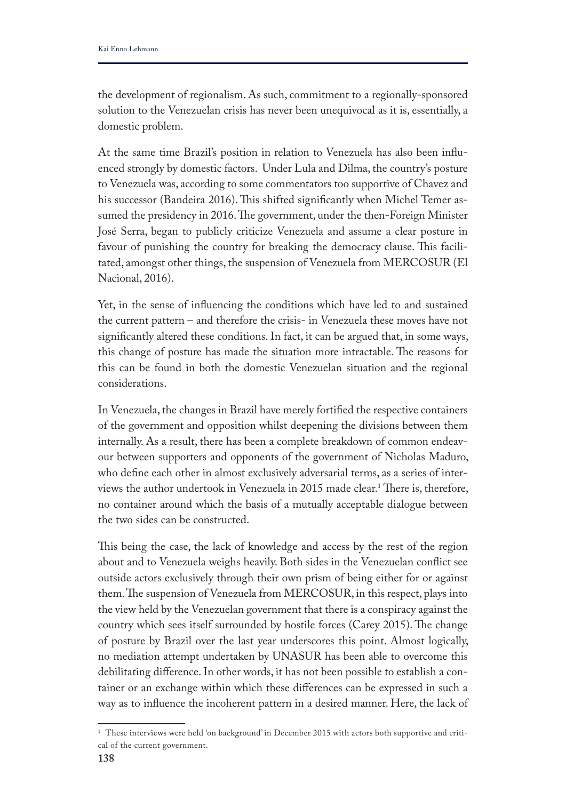the development of regionalism. As such, commitment to a regionally-sponsored solution to the Venezuelan crisis has never been unequivocal as it is, essentially, a domestic problem.

At the same time Brazil's position in relation to Venezuela has also been infuenced strongly by domestic factors. Under Lula and Dilma, the country's posture to Venezuela was, according to some commentators too supportive of Chavez and his successor (Bandeira 2016). This shifted significantly when Michel Temer assumed the presidency in 2016. The government, under the then-Foreign Minister José Serra, began to publicly criticize Venezuela and assume a clear posture in favour of punishing the country for breaking the democracy clause. This facilitated, amongst other things, the suspension of Venezuela from MERCOSUR (El Nacional, 2016).

Yet, in the sense of infuencing the conditions which have led to and sustained the current pattern – and therefore the crisis- in Venezuela these moves have not signifcantly altered these conditions. In fact, it can be argued that, in some ways, this change of posture has made the situation more intractable. The reasons for this can be found in both the domestic Venezuelan situation and the regional considerations.

In Venezuela, the changes in Brazil have merely fortifed the respective containers of the government and opposition whilst deepening the divisions between them internally. As a result, there has been a complete breakdown of common endeavour between supporters and opponents of the government of Nicholas Maduro, who defne each other in almost exclusively adversarial terms, as a series of interviews the author undertook in Venezuela in 2015 made clear.<sup>1</sup> There is, therefore, no container around which the basis of a mutually acceptable dialogue between the two sides can be constructed.

This being the case, the lack of knowledge and access by the rest of the region about and to Venezuela weighs heavily. Both sides in the Venezuelan confict see outside actors exclusively through their own prism of being either for or against them. The suspension of Venezuela from MERCOSUR, in this respect, plays into the view held by the Venezuelan government that there is a conspiracy against the country which sees itself surrounded by hostile forces (Carey 2015). The change of posture by Brazil over the last year underscores this point. Almost logically, no mediation attempt undertaken by UNASUR has been able to overcome this debilitating diference. In other words, it has not been possible to establish a container or an exchange within which these diferences can be expressed in such a way as to infuence the incoherent pattern in a desired manner. Here, the lack of

<sup>&</sup>lt;sup>1</sup> These interviews were held 'on background' in December 2015 with actors both supportive and critical of the current government.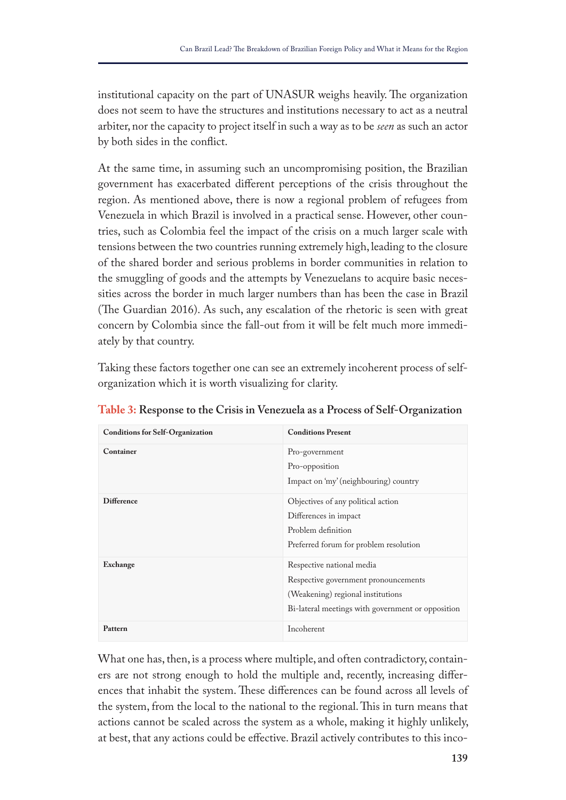institutional capacity on the part of UNASUR weighs heavily. The organization does not seem to have the structures and institutions necessary to act as a neutral arbiter, nor the capacity to project itself in such a way as to be *seen* as such an actor by both sides in the confict.

At the same time, in assuming such an uncompromising position, the Brazilian government has exacerbated diferent perceptions of the crisis throughout the region. As mentioned above, there is now a regional problem of refugees from Venezuela in which Brazil is involved in a practical sense. However, other countries, such as Colombia feel the impact of the crisis on a much larger scale with tensions between the two countries running extremely high, leading to the closure of the shared border and serious problems in border communities in relation to the smuggling of goods and the attempts by Venezuelans to acquire basic necessities across the border in much larger numbers than has been the case in Brazil (The Guardian 2016). As such, any escalation of the rhetoric is seen with great concern by Colombia since the fall-out from it will be felt much more immediately by that country.

Taking these factors together one can see an extremely incoherent process of selforganization which it is worth visualizing for clarity.

| <b>Conditions for Self-Organization</b> | <b>Conditions Present</b>                                                                                                                                   |
|-----------------------------------------|-------------------------------------------------------------------------------------------------------------------------------------------------------------|
| Container                               | Pro-government<br>Pro-opposition<br>Impact on 'my' (neighbouring) country                                                                                   |
| <b>Difference</b>                       | Objectives of any political action<br>Differences in impact<br>Problem definition<br>Preferred forum for problem resolution                                 |
| Exchange                                | Respective national media<br>Respective government pronouncements<br>(Weakening) regional institutions<br>Bi-lateral meetings with government or opposition |
| Pattern                                 | Incoherent                                                                                                                                                  |

**Table 3: Response to the Crisis in Venezuela as a Process of Self-Organization**

What one has, then, is a process where multiple, and often contradictory, containers are not strong enough to hold the multiple and, recently, increasing diferences that inhabit the system. These differences can be found across all levels of the system, from the local to the national to the regional. This in turn means that actions cannot be scaled across the system as a whole, making it highly unlikely, at best, that any actions could be efective. Brazil actively contributes to this inco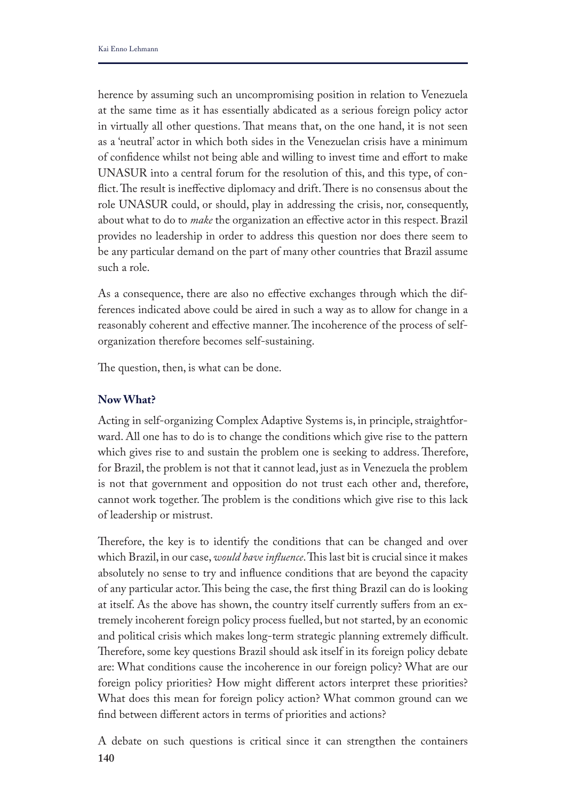herence by assuming such an uncompromising position in relation to Venezuela at the same time as it has essentially abdicated as a serious foreign policy actor in virtually all other questions. That means that, on the one hand, it is not seen as a 'neutral' actor in which both sides in the Venezuelan crisis have a minimum of confdence whilst not being able and willing to invest time and efort to make UNASUR into a central forum for the resolution of this, and this type, of conflict. The result is ineffective diplomacy and drift. There is no consensus about the role UNASUR could, or should, play in addressing the crisis, nor, consequently, about what to do to *make* the organization an efective actor in this respect. Brazil provides no leadership in order to address this question nor does there seem to be any particular demand on the part of many other countries that Brazil assume such a role.

As a consequence, there are also no effective exchanges through which the differences indicated above could be aired in such a way as to allow for change in a reasonably coherent and effective manner. The incoherence of the process of selforganization therefore becomes self-sustaining.

The question, then, is what can be done.

## **Now What?**

Acting in self-organizing Complex Adaptive Systems is, in principle, straightforward. All one has to do is to change the conditions which give rise to the pattern which gives rise to and sustain the problem one is seeking to address. Therefore, for Brazil, the problem is not that it cannot lead, just as in Venezuela the problem is not that government and opposition do not trust each other and, therefore, cannot work together. The problem is the conditions which give rise to this lack of leadership or mistrust.

Therefore, the key is to identify the conditions that can be changed and over which Brazil, in our case, *would have influence*. This last bit is crucial since it makes absolutely no sense to try and infuence conditions that are beyond the capacity of any particular actor. Tis being the case, the frst thing Brazil can do is looking at itself. As the above has shown, the country itself currently sufers from an extremely incoherent foreign policy process fuelled, but not started, by an economic and political crisis which makes long-term strategic planning extremely difficult. Therefore, some key questions Brazil should ask itself in its foreign policy debate are: What conditions cause the incoherence in our foreign policy? What are our foreign policy priorities? How might diferent actors interpret these priorities? What does this mean for foreign policy action? What common ground can we fnd between diferent actors in terms of priorities and actions?

**140** A debate on such questions is critical since it can strengthen the containers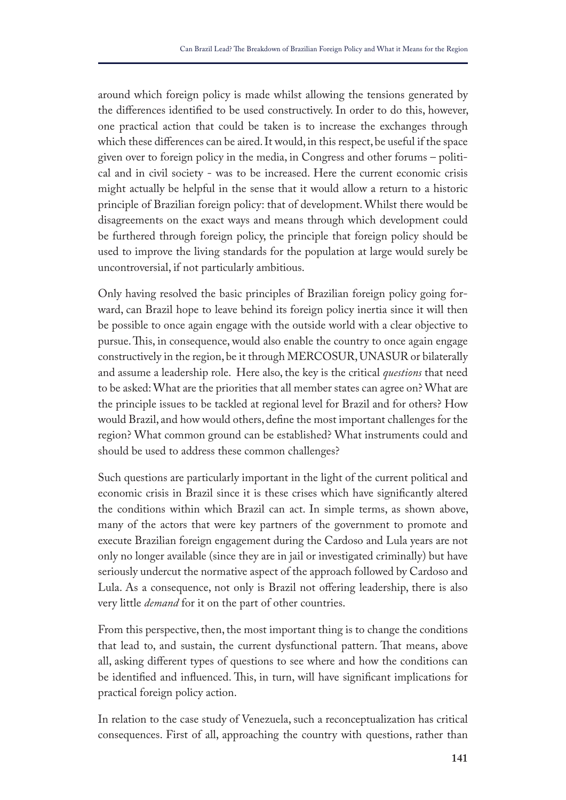around which foreign policy is made whilst allowing the tensions generated by the diferences identifed to be used constructively. In order to do this, however, one practical action that could be taken is to increase the exchanges through which these diferences can be aired. It would, in this respect, be useful if the space given over to foreign policy in the media, in Congress and other forums – political and in civil society - was to be increased. Here the current economic crisis might actually be helpful in the sense that it would allow a return to a historic principle of Brazilian foreign policy: that of development. Whilst there would be disagreements on the exact ways and means through which development could be furthered through foreign policy, the principle that foreign policy should be used to improve the living standards for the population at large would surely be uncontroversial, if not particularly ambitious.

Only having resolved the basic principles of Brazilian foreign policy going forward, can Brazil hope to leave behind its foreign policy inertia since it will then be possible to once again engage with the outside world with a clear objective to pursue. This, in consequence, would also enable the country to once again engage constructively in the region, be it through MERCOSUR, UNASUR or bilaterally and assume a leadership role. Here also, the key is the critical *questions* that need to be asked: What are the priorities that all member states can agree on? What are the principle issues to be tackled at regional level for Brazil and for others? How would Brazil, and how would others, defne the most important challenges for the region? What common ground can be established? What instruments could and should be used to address these common challenges?

Such questions are particularly important in the light of the current political and economic crisis in Brazil since it is these crises which have signifcantly altered the conditions within which Brazil can act. In simple terms, as shown above, many of the actors that were key partners of the government to promote and execute Brazilian foreign engagement during the Cardoso and Lula years are not only no longer available (since they are in jail or investigated criminally) but have seriously undercut the normative aspect of the approach followed by Cardoso and Lula. As a consequence, not only is Brazil not offering leadership, there is also very little *demand* for it on the part of other countries.

From this perspective, then, the most important thing is to change the conditions that lead to, and sustain, the current dysfunctional pattern. That means, above all, asking diferent types of questions to see where and how the conditions can be identified and influenced. This, in turn, will have significant implications for practical foreign policy action.

In relation to the case study of Venezuela, such a reconceptualization has critical consequences. First of all, approaching the country with questions, rather than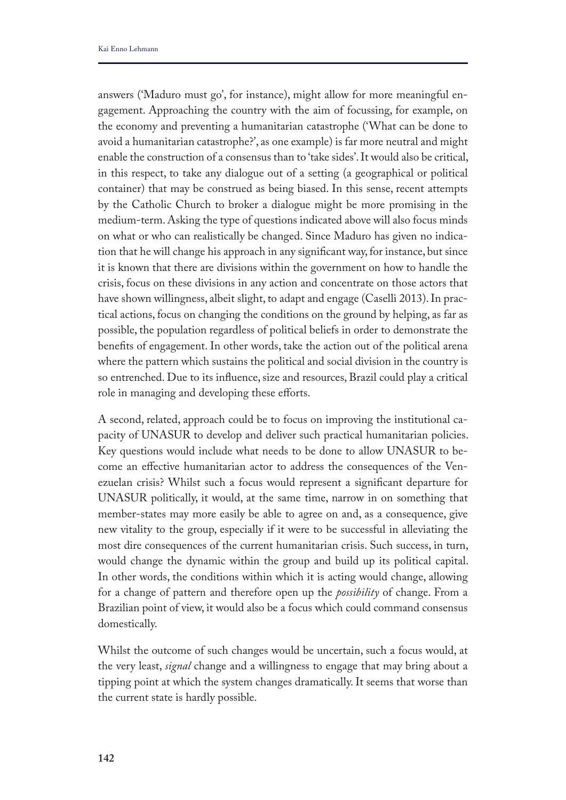answers ('Maduro must go', for instance), might allow for more meaningful engagement. Approaching the country with the aim of focussing, for example, on the economy and preventing a humanitarian catastrophe ('What can be done to avoid a humanitarian catastrophe?', as one example) is far more neutral and might enable the construction of a consensus than to 'take sides'. It would also be critical, in this respect, to take any dialogue out of a setting (a geographical or political container) that may be construed as being biased. In this sense, recent attempts by the Catholic Church to broker a dialogue might be more promising in the medium-term. Asking the type of questions indicated above will also focus minds on what or who can realistically be changed. Since Maduro has given no indication that he will change his approach in any signifcant way, for instance, but since it is known that there are divisions within the government on how to handle the crisis, focus on these divisions in any action and concentrate on those actors that have shown willingness, albeit slight, to adapt and engage (Caselli 2013). In practical actions, focus on changing the conditions on the ground by helping, as far as possible, the population regardless of political beliefs in order to demonstrate the benefts of engagement. In other words, take the action out of the political arena where the pattern which sustains the political and social division in the country is so entrenched. Due to its infuence, size and resources, Brazil could play a critical role in managing and developing these efforts.

A second, related, approach could be to focus on improving the institutional capacity of UNASUR to develop and deliver such practical humanitarian policies. Key questions would include what needs to be done to allow UNASUR to become an efective humanitarian actor to address the consequences of the Venezuelan crisis? Whilst such a focus would represent a signifcant departure for UNASUR politically, it would, at the same time, narrow in on something that member-states may more easily be able to agree on and, as a consequence, give new vitality to the group, especially if it were to be successful in alleviating the most dire consequences of the current humanitarian crisis. Such success, in turn, would change the dynamic within the group and build up its political capital. In other words, the conditions within which it is acting would change, allowing for a change of pattern and therefore open up the *possibility* of change. From a Brazilian point of view, it would also be a focus which could command consensus domestically.

Whilst the outcome of such changes would be uncertain, such a focus would, at the very least, *signal* change and a willingness to engage that may bring about a tipping point at which the system changes dramatically. It seems that worse than the current state is hardly possible.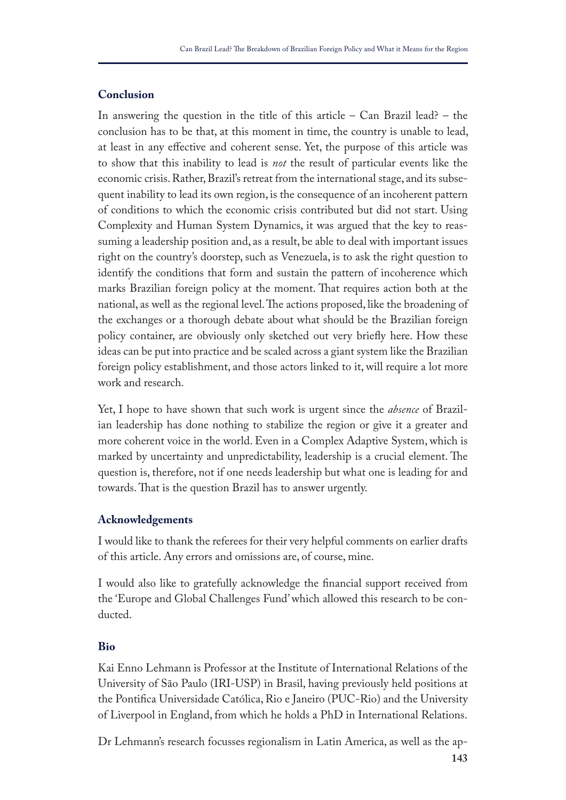## **Conclusion**

In answering the question in the title of this article  $-$  Can Brazil lead?  $-$  the conclusion has to be that, at this moment in time, the country is unable to lead, at least in any efective and coherent sense. Yet, the purpose of this article was to show that this inability to lead is *not* the result of particular events like the economic crisis. Rather, Brazil's retreat from the international stage, and its subsequent inability to lead its own region, is the consequence of an incoherent pattern of conditions to which the economic crisis contributed but did not start. Using Complexity and Human System Dynamics, it was argued that the key to reassuming a leadership position and, as a result, be able to deal with important issues right on the country's doorstep, such as Venezuela, is to ask the right question to identify the conditions that form and sustain the pattern of incoherence which marks Brazilian foreign policy at the moment. That requires action both at the national, as well as the regional level. The actions proposed, like the broadening of the exchanges or a thorough debate about what should be the Brazilian foreign policy container, are obviously only sketched out very briefy here. How these ideas can be put into practice and be scaled across a giant system like the Brazilian foreign policy establishment, and those actors linked to it, will require a lot more work and research.

Yet, I hope to have shown that such work is urgent since the *absence* of Brazilian leadership has done nothing to stabilize the region or give it a greater and more coherent voice in the world. Even in a Complex Adaptive System, which is marked by uncertainty and unpredictability, leadership is a crucial element. The question is, therefore, not if one needs leadership but what one is leading for and towards. That is the question Brazil has to answer urgently.

#### **Acknowledgements**

I would like to thank the referees for their very helpful comments on earlier drafts of this article. Any errors and omissions are, of course, mine.

I would also like to gratefully acknowledge the fnancial support received from the 'Europe and Global Challenges Fund' which allowed this research to be conducted.

#### **Bio**

Kai Enno Lehmann is Professor at the Institute of International Relations of the University of São Paulo (IRI-USP) in Brasil, having previously held positions at the Pontifca Universidade Católica, Rio e Janeiro (PUC-Rio) and the University of Liverpool in England, from which he holds a PhD in International Relations.

Dr Lehmann's research focusses regionalism in Latin America, as well as the ap-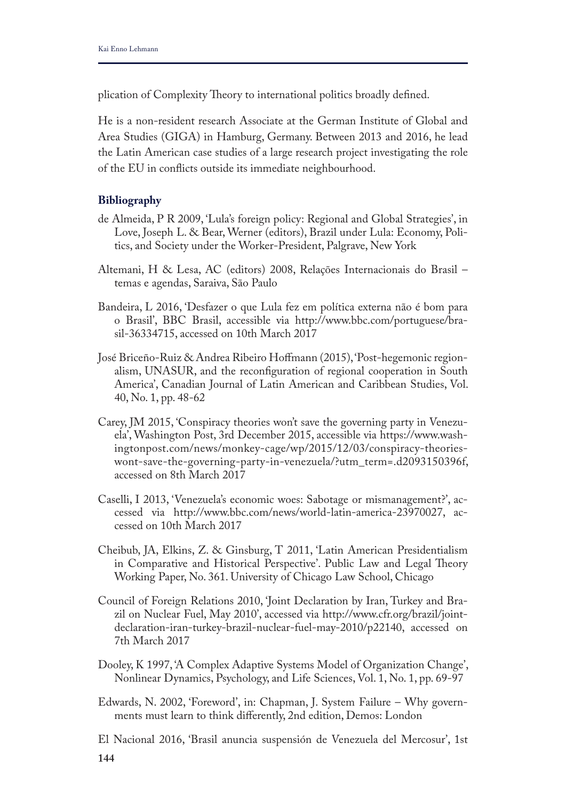plication of Complexity Theory to international politics broadly defined.

He is a non-resident research Associate at the German Institute of Global and Area Studies (GIGA) in Hamburg, Germany. Between 2013 and 2016, he lead the Latin American case studies of a large research project investigating the role of the EU in conficts outside its immediate neighbourhood.

## **Bibliography**

- de Almeida, P R 2009, 'Lula's foreign policy: Regional and Global Strategies', in Love, Joseph L. & Bear, Werner (editors), Brazil under Lula: Economy, Politics, and Society under the Worker-President, Palgrave, New York
- Altemani, H & Lesa, AC (editors) 2008, Relações Internacionais do Brasil temas e agendas, Saraiva, São Paulo
- Bandeira, L 2016, 'Desfazer o que Lula fez em política externa não é bom para o Brasil', BBC Brasil, accessible via http://www.bbc.com/portuguese/brasil-36334715, accessed on 10th March 2017
- José Briceño-Ruiz & Andrea Ribeiro Hofmann (2015), 'Post-hegemonic regionalism, UNASUR, and the reconfguration of regional cooperation in South America', Canadian Journal of Latin American and Caribbean Studies, Vol. 40, No. 1, pp. 48-62
- Carey, JM 2015, 'Conspiracy theories won't save the governing party in Venezuela', Washington Post, 3rd December 2015, accessible via https://www.washingtonpost.com/news/monkey-cage/wp/2015/12/03/conspiracy-theorieswont-save-the-governing-party-in-venezuela/?utm\_term=.d2093150396f, accessed on 8th March 2017
- Caselli, I 2013, 'Venezuela's economic woes: Sabotage or mismanagement?', accessed via http://www.bbc.com/news/world-latin-america-23970027, accessed on 10th March 2017
- Cheibub, JA, Elkins, Z. & Ginsburg, T 2011, 'Latin American Presidentialism in Comparative and Historical Perspective'. Public Law and Legal Theory Working Paper, No. 361. University of Chicago Law School, Chicago
- Council of Foreign Relations 2010, 'Joint Declaration by Iran, Turkey and Brazil on Nuclear Fuel, May 2010', accessed via http://www.cfr.org/brazil/jointdeclaration-iran-turkey-brazil-nuclear-fuel-may-2010/p22140, accessed on 7th March 2017
- Dooley, K 1997, 'A Complex Adaptive Systems Model of Organization Change', Nonlinear Dynamics, Psychology, and Life Sciences, Vol. 1, No. 1, pp. 69-97
- Edwards, N. 2002, 'Foreword', in: Chapman, J. System Failure Why governments must learn to think diferently, 2nd edition, Demos: London
- **144** El Nacional 2016, 'Brasil anuncia suspensión de Venezuela del Mercosur', 1st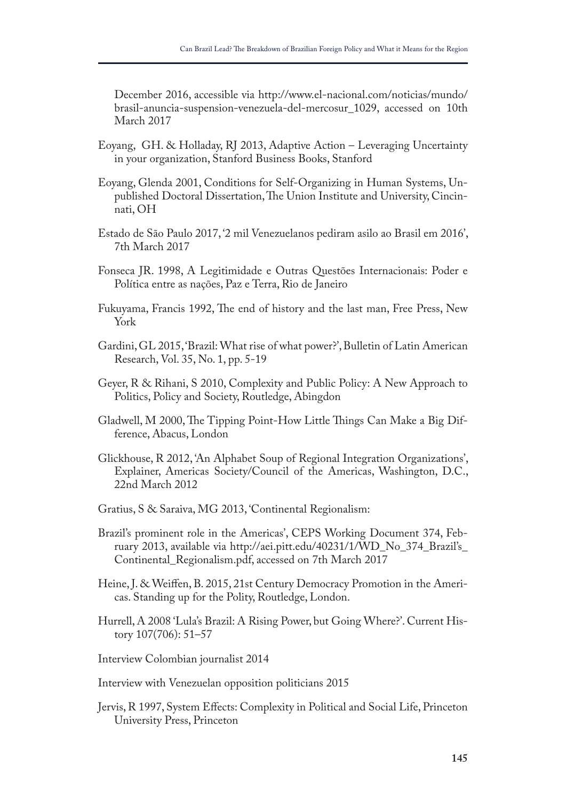December 2016, accessible via http://www.el-nacional.com/noticias/mundo/ brasil-anuncia-suspension-venezuela-del-mercosur\_1029, accessed on 10th March 2017

- Eoyang, GH. & Holladay, RJ 2013, Adaptive Action Leveraging Uncertainty in your organization, Stanford Business Books, Stanford
- Eoyang, Glenda 2001, Conditions for Self-Organizing in Human Systems, Unpublished Doctoral Dissertation, The Union Institute and University, Cincinnati, OH
- Estado de São Paulo 2017, '2 mil Venezuelanos pediram asilo ao Brasil em 2016', 7th March 2017
- Fonseca JR. 1998, A Legitimidade e Outras Questões Internacionais: Poder e Política entre as nações, Paz e Terra, Rio de Janeiro
- Fukuyama, Francis 1992, The end of history and the last man, Free Press, New York
- Gardini, GL 2015, 'Brazil: What rise of what power?', Bulletin of Latin American Research, Vol. 35, No. 1, pp. 5-19
- Geyer, R & Rihani, S 2010, Complexity and Public Policy: A New Approach to Politics, Policy and Society, Routledge, Abingdon
- Gladwell, M 2000, The Tipping Point-How Little Things Can Make a Big Difference, Abacus, London
- Glickhouse, R 2012, 'An Alphabet Soup of Regional Integration Organizations', Explainer, Americas Society/Council of the Americas, Washington, D.C., 22nd March 2012
- Gratius, S & Saraiva, MG 2013, 'Continental Regionalism:
- Brazil's prominent role in the Americas', CEPS Working Document 374, February 2013, available via http://aei.pitt.edu/40231/1/WD\_No\_374\_Brazil's\_ Continental\_Regionalism.pdf, accessed on 7th March 2017
- Heine, J. & Weifen, B. 2015, 21st Century Democracy Promotion in the Americas. Standing up for the Polity, Routledge, London.
- Hurrell, A 2008 'Lula's Brazil: A Rising Power, but Going Where?'. Current History 107(706): 51–57
- Interview Colombian journalist 2014
- Interview with Venezuelan opposition politicians 2015
- Jervis, R 1997, System Efects: Complexity in Political and Social Life, Princeton University Press, Princeton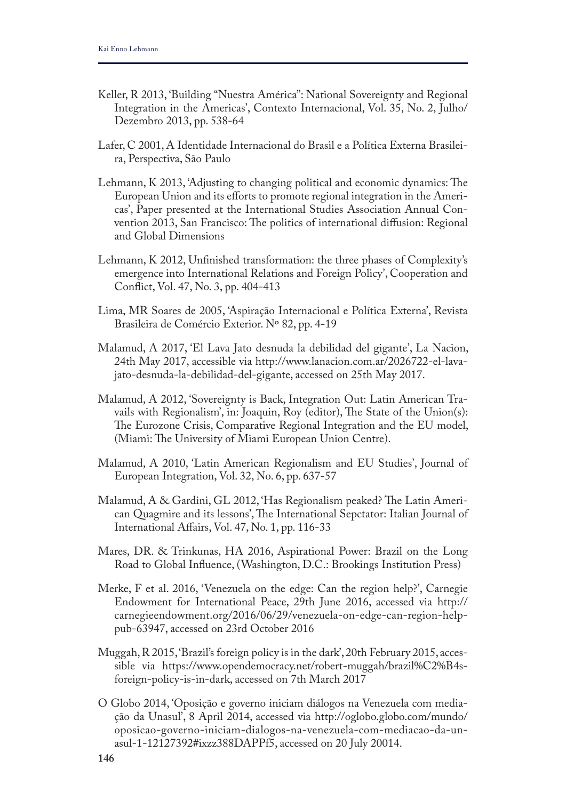- Keller, R 2013, 'Building "Nuestra América": National Sovereignty and Regional Integration in the Americas', Contexto Internacional, Vol. 35, No. 2, Julho/ Dezembro 2013, pp. 538-64
- Lafer, C 2001, A Identidade Internacional do Brasil e a Política Externa Brasileira, Perspectiva, São Paulo
- Lehmann, K 2013, 'Adjusting to changing political and economic dynamics: The European Union and its efforts to promote regional integration in the Americas', Paper presented at the International Studies Association Annual Convention 2013, San Francisco: The politics of international diffusion: Regional and Global Dimensions
- Lehmann, K 2012, Unfnished transformation: the three phases of Complexity's emergence into International Relations and Foreign Policy', Cooperation and Confict, Vol. 47, No. 3, pp. 404-413
- Lima, MR Soares de 2005, 'Aspiração Internacional e Política Externa', Revista Brasileira de Comércio Exterior. Nº 82, pp. 4-19
- Malamud, A 2017, 'El Lava Jato desnuda la debilidad del gigante', La Nacion, 24th May 2017, accessible via http://www.lanacion.com.ar/2026722-el-lavajato-desnuda-la-debilidad-del-gigante, accessed on 25th May 2017.
- Malamud, A 2012, 'Sovereignty is Back, Integration Out: Latin American Travails with Regionalism', in: Joaquin, Roy (editor), The State of the Union(s): The Eurozone Crisis, Comparative Regional Integration and the EU model, (Miami: The University of Miami European Union Centre).
- Malamud, A 2010, 'Latin American Regionalism and EU Studies', Journal of European Integration, Vol. 32, No. 6, pp. 637-57
- Malamud, A & Gardini, GL 2012, 'Has Regionalism peaked? The Latin American Quagmire and its lessons', The International Sepctator: Italian Journal of International Afairs, Vol. 47, No. 1, pp. 116-33
- Mares, DR. & Trinkunas, HA 2016, Aspirational Power: Brazil on the Long Road to Global Infuence, (Washington, D.C.: Brookings Institution Press)
- Merke, F et al. 2016, 'Venezuela on the edge: Can the region help?', Carnegie Endowment for International Peace, 29th June 2016, accessed via http:// carnegieendowment.org/2016/06/29/venezuela-on-edge-can-region-helppub-63947, accessed on 23rd October 2016
- Muggah, R 2015, 'Brazil's foreign policy is in the dark', 20th February 2015, accessible via https://www.opendemocracy.net/robert-muggah/brazil%C2%B4sforeign-policy-is-in-dark, accessed on 7th March 2017
- O Globo 2014, 'Oposição e governo iniciam diálogos na Venezuela com mediação da Unasul', 8 April 2014, accessed via http://oglobo.globo.com/mundo/ oposicao-governo-iniciam-dialogos-na-venezuela-com-mediacao-da-unasul-1-12127392#ixzz388DAPPf5, accessed on 20 July 20014.